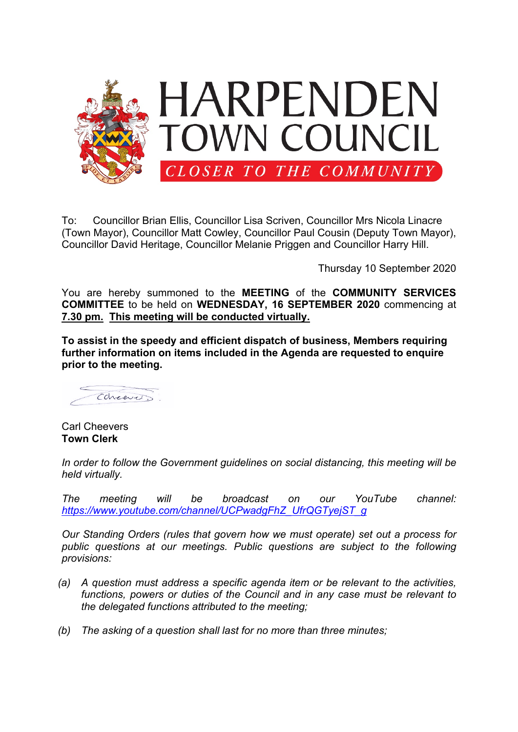

To: Councillor Brian Ellis, Councillor Lisa Scriven, Councillor Mrs Nicola Linacre (Town Mayor), Councillor Matt Cowley, Councillor Paul Cousin (Deputy Town Mayor), Councillor David Heritage, Councillor Melanie Priggen and Councillor Harry Hill.

Thursday 10 September 2020

You are hereby summoned to the **MEETING** of the **COMMUNITY SERVICES COMMITTEE** to be held on **WEDNESDAY, 16 SEPTEMBER 2020** commencing at **7.30 pm. This meeting will be conducted virtually.**

**To assist in the speedy and efficient dispatch of business, Members requiring further information on items included in the Agenda are requested to enquire prior to the meeting.**

Ccheevez.

Carl Cheevers **Town Clerk**

*In order to follow the Government guidelines on social distancing, this meeting will be held virtually.*

*The meeting will be broadcast on our YouTube channel: [https://www.youtube.com/channel/UCPwadgFhZ\\_UfrQGTyejST\\_g](https://www.youtube.com/channel/UCPwadgFhZ_UfrQGTyejST_g)*

*Our Standing Orders (rules that govern how we must operate) set out a process for public questions at our meetings. Public questions are subject to the following provisions:*

- *(a) A question must address a specific agenda item or be relevant to the activities, functions, powers or duties of the Council and in any case must be relevant to the delegated functions attributed to the meeting;*
- *(b) The asking of a question shall last for no more than three minutes;*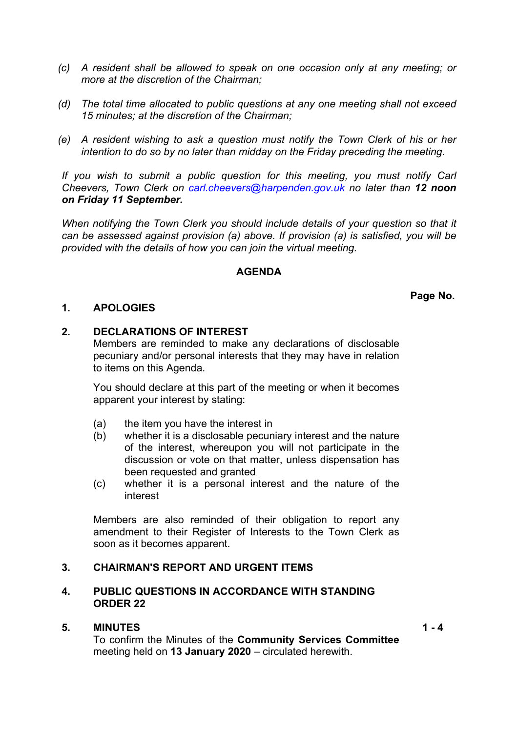- *(c) A resident shall be allowed to speak on one occasion only at any meeting; or more at the discretion of the Chairman;*
- *(d) The total time allocated to public questions at any one meeting shall not exceed 15 minutes; at the discretion of the Chairman;*
- *(e) A resident wishing to ask a question must notify the Town Clerk of his or her intention to do so by no later than midday on the Friday preceding the meeting.*

*If you wish to submit a public question for this meeting, you must notify Carl Cheevers, Town Clerk on [carl.cheevers@harpenden.gov.uk](mailto:carl.cheevers@harpenden.gov.uk) no later than 12 noon on Friday 11 September.*

*When notifying the Town Clerk you should include details of your question so that it can be assessed against provision (a) above. If provision (a) is satisfied, you will be provided with the details of how you can join the virtual meeting.*

## **AGENDA**

**Page No.**

## **1. APOLOGIES**

### **2. DECLARATIONS OF INTEREST**

Members are reminded to make any declarations of disclosable pecuniary and/or personal interests that they may have in relation to items on this Agenda.

You should declare at this part of the meeting or when it becomes apparent your interest by stating:

- (a) the item you have the interest in
- (b) whether it is a disclosable pecuniary interest and the nature of the interest, whereupon you will not participate in the discussion or vote on that matter, unless dispensation has been requested and granted
- (c) whether it is a personal interest and the nature of the interest

Members are also reminded of their obligation to report any amendment to their Register of Interests to the Town Clerk as soon as it becomes apparent.

# **3. CHAIRMAN'S REPORT AND URGENT ITEMS**

## **4. PUBLIC QUESTIONS IN ACCORDANCE WITH STANDING ORDER 22**

## **5. MINUTES**

To confirm the Minutes of the **Community Services Committee** meeting held on **13 January 2020** – circulated herewith.

 $1 - 4$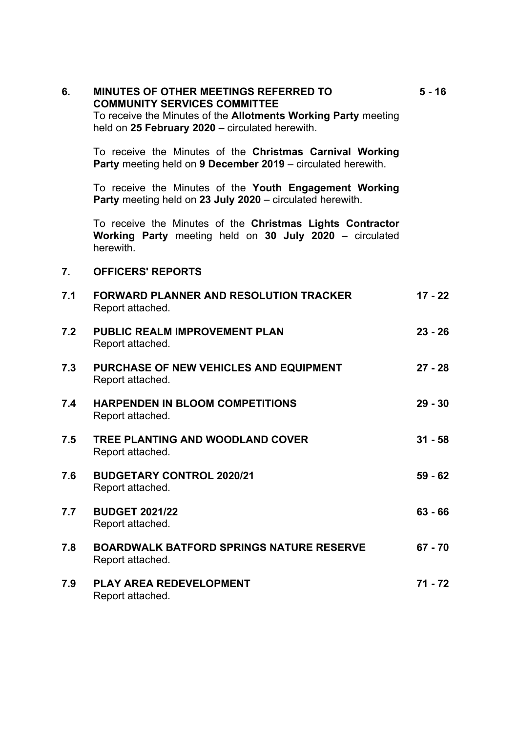| 6.  | <b>MINUTES OF OTHER MEETINGS REFERRED TO</b><br><b>COMMUNITY SERVICES COMMITTEE</b><br>To receive the Minutes of the Allotments Working Party meeting<br>held on 25 February 2020 - circulated herewith. | $5 - 16$  |
|-----|----------------------------------------------------------------------------------------------------------------------------------------------------------------------------------------------------------|-----------|
|     | To receive the Minutes of the Christmas Carnival Working<br>Party meeting held on 9 December 2019 – circulated herewith.                                                                                 |           |
|     | To receive the Minutes of the Youth Engagement Working<br><b>Party</b> meeting held on 23 July 2020 – circulated herewith.                                                                               |           |
|     | To receive the Minutes of the Christmas Lights Contractor<br>Working Party meeting held on 30 July 2020 – circulated<br>herewith.                                                                        |           |
| 7.  | <b>OFFICERS' REPORTS</b>                                                                                                                                                                                 |           |
| 7.1 | <b>FORWARD PLANNER AND RESOLUTION TRACKER</b><br>Report attached.                                                                                                                                        | $17 - 22$ |
| 7.2 | <b>PUBLIC REALM IMPROVEMENT PLAN</b><br>Report attached.                                                                                                                                                 | $23 - 26$ |
| 7.3 | PURCHASE OF NEW VEHICLES AND EQUIPMENT<br>Report attached.                                                                                                                                               | $27 - 28$ |
| 7.4 | <b>HARPENDEN IN BLOOM COMPETITIONS</b><br>Report attached.                                                                                                                                               | $29 - 30$ |
| 7.5 | TREE PLANTING AND WOODLAND COVER<br>Report attached.                                                                                                                                                     | $31 - 58$ |
| 7.6 | <b>BUDGETARY CONTROL 2020/21</b><br>Report attached.                                                                                                                                                     | $59 - 62$ |
| 7.7 | <b>BUDGET 2021/22</b><br>Report attached.                                                                                                                                                                | $63 - 66$ |
| 7.8 | <b>BOARDWALK BATFORD SPRINGS NATURE RESERVE</b><br>Report attached.                                                                                                                                      | $67 - 70$ |
| 7.9 | <b>PLAY AREA REDEVELOPMENT</b><br>Report attached.                                                                                                                                                       | 71 - 72   |